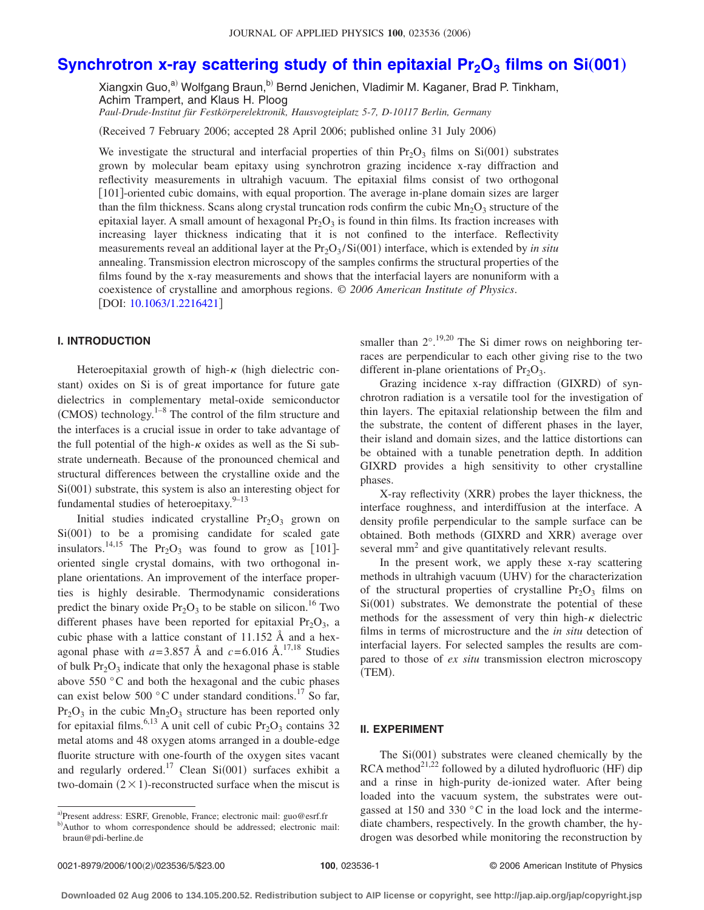# **Synchrotron x-ray scattering study of thin epitaxial Pr<sub>2</sub>O<sub>3</sub> films on Si(001)**

Xiangxin Guo,<sup>a)</sup> Wolfgang Braun,<sup>b)</sup> Bernd Jenichen, Vladimir M. Kaganer, Brad P. Tinkham, Achim Trampert, and Klaus H. Ploog

*Paul-Drude-Institut für Festkörperelektronik, Hausvogteiplatz 5-7, D-10117 Berlin, Germany*

(Received 7 February 2006; accepted 28 April 2006; published online 31 July 2006)

We investigate the structural and interfacial properties of thin  $Pr_2O_3$  films on  $Si(001)$  substrates grown by molecular beam epitaxy using synchrotron grazing incidence x-ray diffraction and reflectivity measurements in ultrahigh vacuum. The epitaxial films consist of two orthogonal 101-oriented cubic domains, with equal proportion. The average in-plane domain sizes are larger than the film thickness. Scans along crystal truncation rods confirm the cubic  $\text{Mn}_2\text{O}_3$  structure of the epitaxial layer. A small amount of hexagonal  $Pr_2O_3$  is found in thin films. Its fraction increases with increasing layer thickness indicating that it is not confined to the interface. Reflectivity measurements reveal an additional layer at the  $Pr_2O_3/Si(001)$  interface, which is extended by *in situ* annealing. Transmission electron microscopy of the samples confirms the structural properties of the films found by the x-ray measurements and shows that the interfacial layers are nonuniform with a coexistence of crystalline and amorphous regions. © *2006 American Institute of Physics*. DOI: [10.1063/1.2216421](http://dx.doi.org/10.1063/1.2216421)

# **I. INTRODUCTION**

Heteroepitaxial growth of high- $\kappa$  (high dielectric constant) oxides on Si is of great importance for future gate dielectrics in complementary metal-oxide semiconductor  $(CMOS)$  technology.<sup>1–8</sup> The control of the film structure and the interfaces is a crucial issue in order to take advantage of the full potential of the high- $\kappa$  oxides as well as the Si substrate underneath. Because of the pronounced chemical and structural differences between the crystalline oxide and the Si(001) substrate, this system is also an interesting object for fundamental studies of heteroepitaxy. $9-13$ 

Initial studies indicated crystalline  $Pr_2O_3$  grown on Si(001) to be a promising candidate for scaled gate insulators.<sup>14,15</sup> The Pr<sub>2</sub>O<sub>3</sub> was found to grow as [101]oriented single crystal domains, with two orthogonal inplane orientations. An improvement of the interface properties is highly desirable. Thermodynamic considerations predict the binary oxide  $Pr_2O_3$  to be stable on silicon.<sup>16</sup> Two different phases have been reported for epitaxial  $Pr_2O_3$ , a cubic phase with a lattice constant of 11.152 Å and a hexagonal phase with  $a=3.857 \text{ Å}$  and  $c=6.016 \text{ Å}$ .<sup>17,18</sup> Studies of bulk  $Pr_2O_3$  indicate that only the hexagonal phase is stable above 550 °C and both the hexagonal and the cubic phases can exist below 500  $^{\circ}$ C under standard conditions.<sup>17</sup> So far,  $Pr_2O_3$  in the cubic  $Mn_2O_3$  structure has been reported only for epitaxial films.<sup>6,13</sup> A unit cell of cubic  $Pr_2O_3$  contains 32 metal atoms and 48 oxygen atoms arranged in a double-edge fluorite structure with one-fourth of the oxygen sites vacant and regularly ordered.<sup>17</sup> Clean Si $(001)$  surfaces exhibit a two-domain  $(2 \times 1)$ -reconstructed surface when the miscut is

smaller than  $2^{\circ}$ .<sup>19,20</sup> The Si dimer rows on neighboring terraces are perpendicular to each other giving rise to the two different in-plane orientations of  $Pr_2O_3$ .

Grazing incidence x-ray diffraction (GIXRD) of synchrotron radiation is a versatile tool for the investigation of thin layers. The epitaxial relationship between the film and the substrate, the content of different phases in the layer, their island and domain sizes, and the lattice distortions can be obtained with a tunable penetration depth. In addition GIXRD provides a high sensitivity to other crystalline phases.

X-ray reflectivity (XRR) probes the layer thickness, the interface roughness, and interdiffusion at the interface. A density profile perpendicular to the sample surface can be obtained. Both methods (GIXRD and XRR) average over several mm<sup>2</sup> and give quantitatively relevant results.

In the present work, we apply these x-ray scattering methods in ultrahigh vacuum (UHV) for the characterization of the structural properties of crystalline  $Pr_2O_3$  films on Si(001) substrates. We demonstrate the potential of these methods for the assessment of very thin high- $\kappa$  dielectric films in terms of microstructure and the *in situ* detection of interfacial layers. For selected samples the results are compared to those of *ex situ* transmission electron microscopy (TEM).

# **II. EXPERIMENT**

The Si(001) substrates were cleaned chemically by the RCA method $^{21,22}$  followed by a diluted hydrofluoric (HF) dip and a rinse in high-purity de-ionized water. After being loaded into the vacuum system, the substrates were outgassed at 150 and 330 °C in the load lock and the intermediate chambers, respectively. In the growth chamber, the hydrogen was desorbed while monitoring the reconstruction by

a)Present address: ESRF, Grenoble, France; electronic mail: guo@esrf.fr b)Author to whom correspondence should be addressed; electronic mail: braun@pdi-berline.de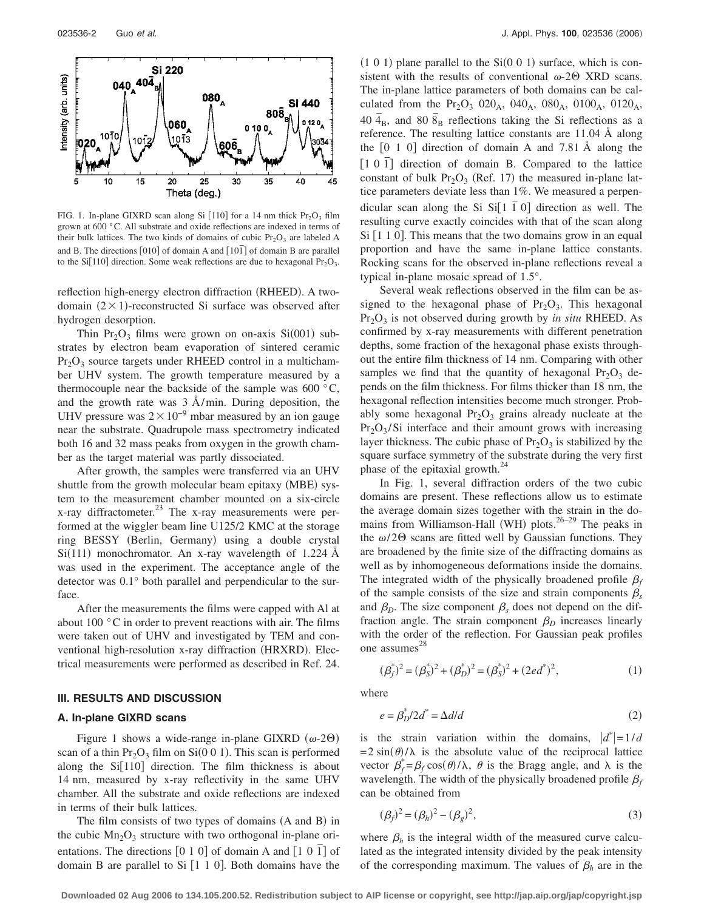

FIG. 1. In-plane GIXRD scan along Si [110] for a 14 nm thick  $Pr_2O_3$  film grown at 600 °C. All substrate and oxide reflections are indexed in terms of their bulk lattices. The two kinds of domains of cubic  $Pr_2O_3$  are labeled A and B. The directions  $[010]$  of domain A and  $[10\bar{1}]$  of domain B are parallel to the Si[110] direction. Some weak reflections are due to hexagonal  $Pr_2O_3$ .

reflection high-energy electron diffraction (RHEED). A twodomain  $(2 \times 1)$ -reconstructed Si surface was observed after hydrogen desorption.

Thin  $Pr_2O_3$  films were grown on on-axis  $Si(001)$  substrates by electron beam evaporation of sintered ceramic  $Pr_2O_3$  source targets under RHEED control in a multichamber UHV system. The growth temperature measured by a thermocouple near the backside of the sample was  $600^{\circ}$ C, and the growth rate was  $3 \text{ Å/min}$ . During deposition, the UHV pressure was  $2 \times 10^{-9}$  mbar measured by an ion gauge near the substrate. Quadrupole mass spectrometry indicated both 16 and 32 mass peaks from oxygen in the growth chamber as the target material was partly dissociated.

After growth, the samples were transferred via an UHV shuttle from the growth molecular beam epitaxy (MBE) system to the measurement chamber mounted on a six-circle x-ray diffractometer. $^{23}$  The x-ray measurements were performed at the wiggler beam line U125/2 KMC at the storage ring BESSY (Berlin, Germany) using a double crystal  $Si(111)$  monochromator. An x-ray wavelength of 1.224 Å was used in the experiment. The acceptance angle of the detector was 0.1° both parallel and perpendicular to the surface.

After the measurements the films were capped with Al at about 100 °C in order to prevent reactions with air. The films were taken out of UHV and investigated by TEM and conventional high-resolution x-ray diffraction (HRXRD). Electrical measurements were performed as described in Ref. 24.

#### **III. RESULTS AND DISCUSSION**

#### **A. In-plane GIXRD scans**

Figure 1 shows a wide-range in-plane GIXRD  $(\omega$ -2 $\Theta)$ scan of a thin  $Pr_2O_3$  film on Si(0 0 1). This scan is performed along the  $Si[110]$  direction. The film thickness is about 14 nm, measured by x-ray reflectivity in the same UHV chamber. All the substrate and oxide reflections are indexed in terms of their bulk lattices.

The film consists of two types of domains (A and B) in the cubic  $Mn_2O_3$  structure with two orthogonal in-plane orientations. The directions [0 1 0] of domain A and [1 0 1] of domain B are parallel to Si  $[1 1 0]$ . Both domains have the

 $(1\ 0\ 1)$  plane parallel to the Si $(0\ 0\ 1)$  surface, which is consistent with the results of conventional  $\omega$ -2 $\Theta$  XRD scans. The in-plane lattice parameters of both domains can be calculated from the Pr<sub>2</sub>O<sub>3</sub> 020<sub>A</sub>, 040<sub>A</sub>, 080<sub>A</sub>, 0100<sub>A</sub>, 0120<sub>A</sub>, 40  $\bar{4}_B$ , and 80  $\bar{8}_B$  reflections taking the Si reflections as a reference. The resulting lattice constants are 11.04 Å along the  $\begin{bmatrix} 0 & 1 & 0 \end{bmatrix}$  direction of domain A and 7.81 Å along the [1 0 1] direction of domain B. Compared to the lattice constant of bulk  $Pr_2O_3$  (Ref. 17) the measured in-plane lattice parameters deviate less than 1%. We measured a perpendicular scan along the Si  $Si[1\ \overline{1}\ 0]$  direction as well. The resulting curve exactly coincides with that of the scan along  $Si [1 1 0]$ . This means that the two domains grow in an equal proportion and have the same in-plane lattice constants. Rocking scans for the observed in-plane reflections reveal a typical in-plane mosaic spread of 1.5°.

Several weak reflections observed in the film can be assigned to the hexagonal phase of  $Pr_2O_3$ . This hexagonal Pr<sub>2</sub>O<sub>3</sub> is not observed during growth by *in situ* RHEED. As confirmed by x-ray measurements with different penetration depths, some fraction of the hexagonal phase exists throughout the entire film thickness of 14 nm. Comparing with other samples we find that the quantity of hexagonal  $Pr_2O_3$  depends on the film thickness. For films thicker than 18 nm, the hexagonal reflection intensities become much stronger. Probably some hexagonal  $Pr_2O_3$  grains already nucleate at the  $Pr<sub>2</sub>O<sub>3</sub>/Si$  interface and their amount grows with increasing layer thickness. The cubic phase of  $Pr_2O_3$  is stabilized by the square surface symmetry of the substrate during the very first phase of the epitaxial growth. $^{24}$ 

In Fig. 1, several diffraction orders of the two cubic domains are present. These reflections allow us to estimate the average domain sizes together with the strain in the domains from Williamson-Hall (WH) plots. $26-29$  The peaks in the  $\omega$ /2 $\Theta$  scans are fitted well by Gaussian functions. They are broadened by the finite size of the diffracting domains as well as by inhomogeneous deformations inside the domains. The integrated width of the physically broadened profile  $\beta_f$ of the sample consists of the size and strain components  $\beta_s$ and  $\beta_D$ . The size component  $\beta_s$  does not depend on the diffraction angle. The strain component  $\beta_D$  increases linearly with the order of the reflection. For Gaussian peak profiles one assumes 28

$$
(\beta_f^*)^2 = (\beta_S^*)^2 + (\beta_D^*)^2 = (\beta_S^*)^2 + (2ed^*)^2,\tag{1}
$$

where

$$
e = \beta_D^* / 2d^* = \Delta d/d \tag{2}
$$

is the strain variation within the domains,  $|d^*|=1/d$  $= 2 \sin(\theta)/\lambda$  is the absolute value of the reciprocal lattice vector  $\beta_f^* = \beta_f \cos(\theta) / \lambda$ ,  $\theta$  is the Bragg angle, and  $\lambda$  is the wavelength. The width of the physically broadened profile  $\beta_f$ can be obtained from

$$
(\beta_f)^2 = (\beta_h)^2 - (\beta_g)^2,\tag{3}
$$

where  $\beta_h$  is the integral width of the measured curve calculated as the integrated intensity divided by the peak intensity of the corresponding maximum. The values of  $\beta_h$  are in the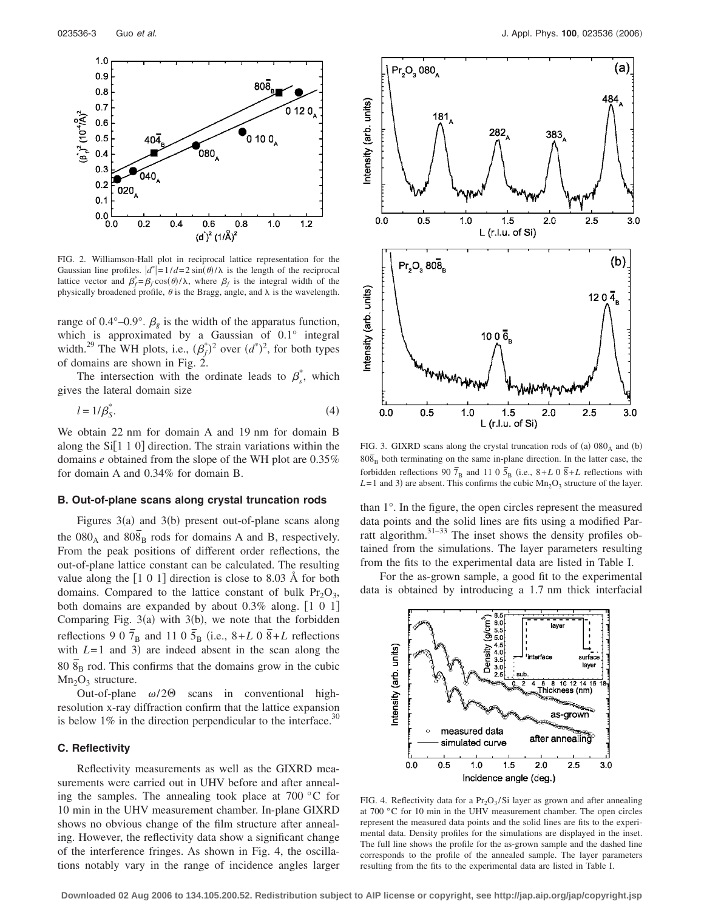

FIG. 2. Williamson-Hall plot in reciprocal lattice representation for the Gaussian line profiles.  $|d^*| = 1/d = 2 \sin(\theta)/\lambda$  is the length of the reciprocal lattice vector and  $\beta_f^* = \beta_f \cos(\theta) / \lambda$ , where  $\beta_f$  is the integral width of the physically broadened profile,  $\theta$  is the Bragg, angle, and  $\lambda$  is the wavelength.

range of 0.4°–0.9°.  $\beta_g$  is the width of the apparatus function, which is approximated by a Gaussian of 0.1° integral width.<sup>29</sup> The WH plots, i.e.,  $(\beta_f^*)^2$  over  $(d^*)^2$ , for both types of domains are shown in Fig.  $2$ .

The intersection with the ordinate leads to  $\beta_s^*$ , which gives the lateral domain size

$$
l = 1/\beta_S^*.\tag{4}
$$

We obtain 22 nm for domain A and 19 nm for domain B along the  $Si[110]$  direction. The strain variations within the domains *e* obtained from the slope of the WH plot are 0.35% for domain A and 0.34% for domain B.

#### **B. Out-of-plane scans along crystal truncation rods**

Figures  $3(a)$  and  $3(b)$  present out-of-plane scans along the  $080_A$  and  $808_B$  rods for domains A and B, respectively. From the peak positions of different order reflections, the out-of-plane lattice constant can be calculated. The resulting value along the  $\left|1\ 0\ 1\right|$  direction is close to 8.03 Å for both domains. Compared to the lattice constant of bulk  $Pr<sub>2</sub>O<sub>3</sub>$ , both domains are expanded by about  $0.3\%$  along.  $[1\ 0\ 1]$ Comparing Fig.  $3(a)$  with  $3(b)$ , we note that the forbidden reflections 9 0  $\overline{7}_B$  and 11 0  $\overline{5}_B$  (i.e., 8+*L* 0  $\overline{8}$ +*L* reflections with  $L=1$  and 3) are indeed absent in the scan along the  $80 \bar{8}_B$  rod. This confirms that the domains grow in the cubic  $Mn<sub>2</sub>O<sub>3</sub>$  structure.

Out-of-plane  $\omega/2\Theta$  scans in conventional highresolution x-ray diffraction confirm that the lattice expansion is below  $1\%$  in the direction perpendicular to the interface.<sup>30</sup>

#### **C. Reflectivity**

Reflectivity measurements as well as the GIXRD measurements were carried out in UHV before and after annealing the samples. The annealing took place at  $700\degree$ C for 10 min in the UHV measurement chamber. In-plane GIXRD shows no obvious change of the film structure after annealing. However, the reflectivity data show a significant change of the interference fringes. As shown in Fig. 4, the oscillations notably vary in the range of incidence angles larger



FIG. 3. GIXRD scans along the crystal truncation rods of (a)  $080_A$  and (b)  $80\bar{8}$ <sub>B</sub> both terminating on the same in-plane direction. In the latter case, the forbidden reflections 90  $\overline{7}_B$  and 11 0  $\overline{5}_B$  (i.e.,  $8+L$  0  $\overline{8}+L$  reflections with  $L=1$  and 3) are absent. This confirms the cubic  $Mn_2O_3$  structure of the layer.

than 1°. In the figure, the open circles represent the measured data points and the solid lines are fits using a modified Parratt algorithm.<sup>31–33</sup> The inset shows the density profiles obtained from the simulations. The layer parameters resulting from the fits to the experimental data are listed in Table I.

For the as-grown sample, a good fit to the experimental data is obtained by introducing a 1.7 nm thick interfacial



FIG. 4. Reflectivity data for a  $Pr_2O_3/Si$  layer as grown and after annealing at 700 °C for 10 min in the UHV measurement chamber. The open circles represent the measured data points and the solid lines are fits to the experimental data. Density profiles for the simulations are displayed in the inset. The full line shows the profile for the as-grown sample and the dashed line corresponds to the profile of the annealed sample. The layer parameters resulting from the fits to the experimental data are listed in Table I.

**Downloaded 02 Aug 2006 to 134.105.200.52. Redistribution subject to AIP license or copyright, see http://jap.aip.org/jap/copyright.jsp**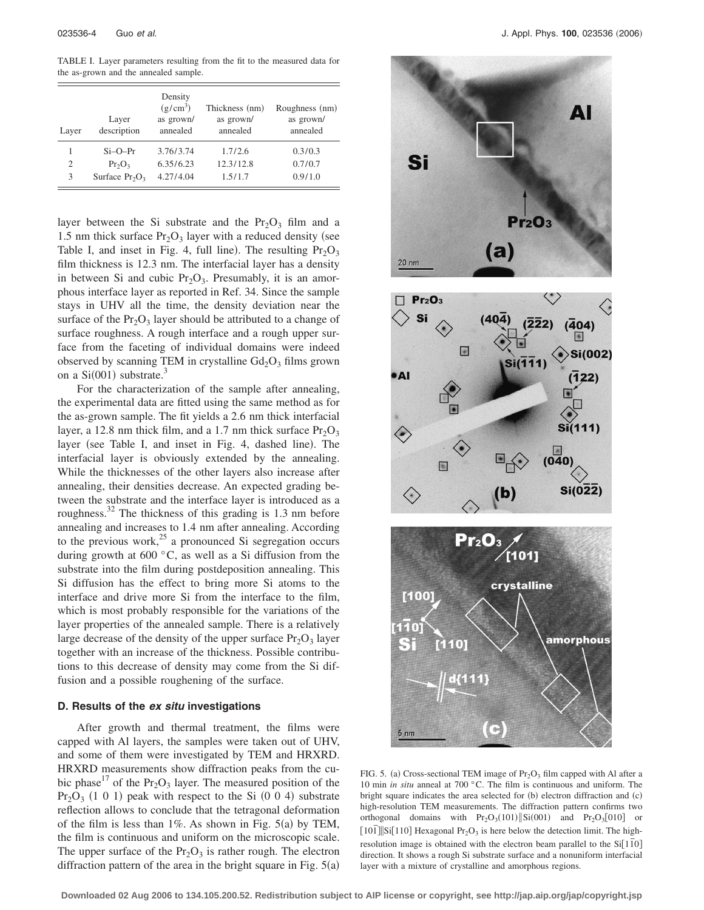TABLE I. Layer parameters resulting from the fit to the measured data for the as-grown and the annealed sample.

| Layer          | Layer<br>description | Density<br>$(g/cm^3)$<br>as grown/<br>annealed | Thickness (nm)<br>as grown/<br>annealed | Roughness (nm)<br>as grown/<br>annealed |
|----------------|----------------------|------------------------------------------------|-----------------------------------------|-----------------------------------------|
|                | $Si-O-Pr$            | 3.76/3.74                                      | 1.7/2.6                                 | 0.3/0.3                                 |
| $\overline{c}$ | $Pr_2O_3$            | 6.35/6.23                                      | 12.3/12.8                               | 0.7/0.7                                 |
| 3              | Surface $Pr_2O_3$    | 4.27/4.04                                      | 1.5/1.7                                 | 0.9/1.0                                 |

layer between the Si substrate and the  $Pr_2O_3$  film and a 1.5 nm thick surface  $Pr_2O_3$  layer with a reduced density (see Table I, and inset in Fig. 4, full line). The resulting  $Pr_2O_3$ film thickness is 12.3 nm. The interfacial layer has a density in between Si and cubic  $Pr<sub>2</sub>O<sub>3</sub>$ . Presumably, it is an amorphous interface layer as reported in Ref. 34. Since the sample stays in UHV all the time, the density deviation near the surface of the  $Pr_2O_3$  layer should be attributed to a change of surface roughness. A rough interface and a rough upper surface from the faceting of individual domains were indeed observed by scanning TEM in crystalline  $Gd_2O_3$  films grown on a  $Si(001)$  substrate.<sup>3</sup>

For the characterization of the sample after annealing, the experimental data are fitted using the same method as for the as-grown sample. The fit yields a 2.6 nm thick interfacial layer, a 12.8 nm thick film, and a 1.7 nm thick surface  $Pr_2O_3$ layer (see Table I, and inset in Fig. 4, dashed line). The interfacial layer is obviously extended by the annealing. While the thicknesses of the other layers also increase after annealing, their densities decrease. An expected grading between the substrate and the interface layer is introduced as a roughness. $^{32}$  The thickness of this grading is 1.3 nm before annealing and increases to 1.4 nm after annealing. According to the previous work, $25$  a pronounced Si segregation occurs during growth at 600 °C, as well as a Si diffusion from the substrate into the film during postdeposition annealing. This Si diffusion has the effect to bring more Si atoms to the interface and drive more Si from the interface to the film, which is most probably responsible for the variations of the layer properties of the annealed sample. There is a relatively large decrease of the density of the upper surface  $Pr_2O_3$  layer together with an increase of the thickness. Possible contributions to this decrease of density may come from the Si diffusion and a possible roughening of the surface.

### **D. Results of the** *ex situ* **investigations**

After growth and thermal treatment, the films were capped with Al layers, the samples were taken out of UHV, and some of them were investigated by TEM and HRXRD. HRXRD measurements show diffraction peaks from the cubic phase<sup>17</sup> of the Pr<sub>2</sub>O<sub>3</sub> layer. The measured position of the  $Pr<sub>2</sub>O<sub>3</sub>$  (1 0 1) peak with respect to the Si (0 0 4) substrate reflection allows to conclude that the tetragonal deformation of the film is less than  $1\%$ . As shown in Fig. 5(a) by TEM, the film is continuous and uniform on the microscopic scale. The upper surface of the  $Pr_2O_3$  is rather rough. The electron diffraction pattern of the area in the bright square in Fig.  $5(a)$ 



FIG. 5. (a) Cross-sectional TEM image of  $Pr_2O_3$  film capped with Al after a 10 min *in situ* anneal at 700 °C. The film is continuous and uniform. The bright square indicates the area selected for (b) electron diffraction and (c) high-resolution TEM measurements. The diffraction pattern confirms two orthogonal domains with  $Pr_2O_3(101)$ ||Si $(001)$  and  $Pr_2O_3[010]$  or  $\lceil 101 \rceil$ Si $\lceil 110 \rceil$  Hexagonal Pr<sub>2</sub>O<sub>3</sub> is here below the detection limit. The highresolution image is obtained with the electron beam parallel to the Si<sup>[110]</sup> direction. It shows a rough Si substrate surface and a nonuniform interfacial layer with a mixture of crystalline and amorphous regions.